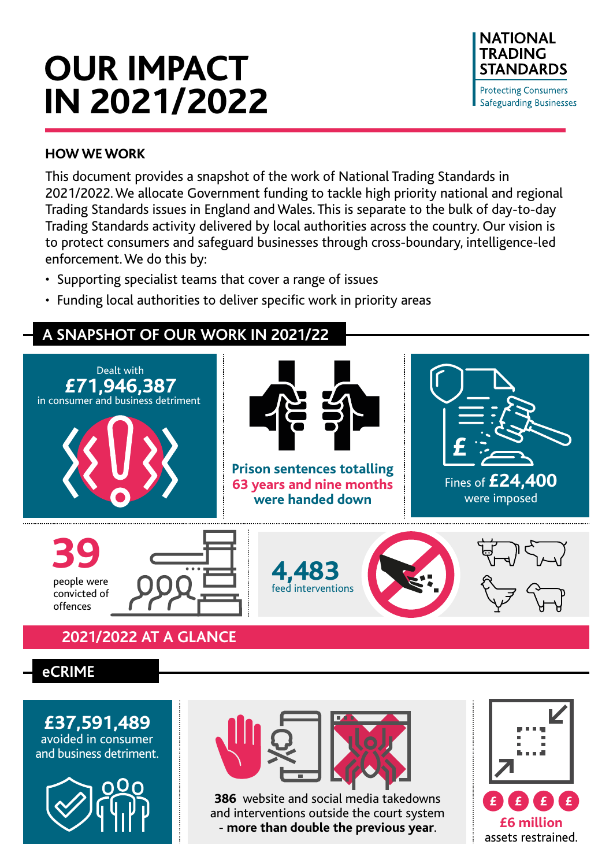# **OUR IMPACT IN 2021/2022**



#### **HOW WE WORK**

This document provides a snapshot of the work of National Trading Standards in 2021/2022. We allocate Government funding to tackle high priority national and regional Trading Standards issues in England and Wales. This is separate to the bulk of day-to-day Trading Standards activity delivered by local authorities across the country. Our vision is to protect consumers and safeguard businesses through cross-boundary, intelligence-led enforcement. We do this by:

- Supporting specialist teams that cover a range of issues
- Funding local authorities to deliver specific work in priority areas

# **A SNAPSHOT OF OUR WORK IN 2021/22**



## **2021/2022 AT A GLANCE**

# **eCRIME**

**£37,591,489** avoided in consumer and business detriment.





**386** website and social media takedowns and interventions outside the court system - **more than double the previous year**. **£6 million** 

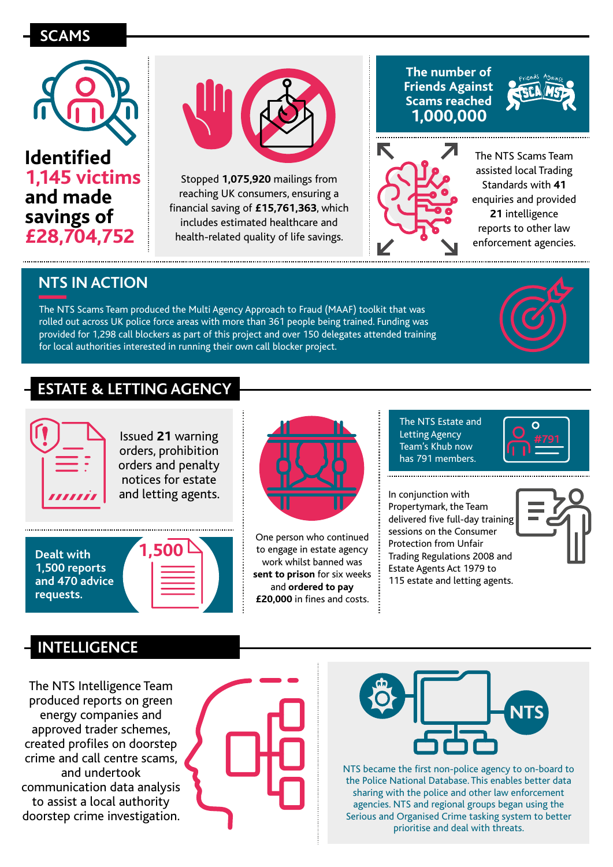# **SCAMS REGIONAL CASES**





Stopped **1,075,920** mailings from reaching UK consumers, ensuring a financial saving of **£15,761,363**, which includes estimated healthcare and health-related quality of life savings.

#### **The number of Friends Against Scams reached 1,000,000**





The NTS Scams Team assisted local Trading Standards with **41**  enquiries and provided **21** intelligence reports to other law enforcement agencies.

# **NTS IN ACTION**

The NTS Scams Team produced the Multi Agency Approach to Fraud (MAAF) toolkit that was rolled out across UK police force areas with more than 361 people being trained. Funding was provided for 1,298 call blockers as part of this project and over 150 delegates attended training for local authorities interested in running their own call blocker project.



# **ESTATE & LETTING AGENCY**



Issued **21** warning orders, prohibition orders and penalty notices for estate and letting agents.

**Dealt with 1,500 1,500 reports and 470 advice requests.**





One person who continued to engage in estate agency work whilst banned was **sent to prison** for six weeks and **ordered to pay £20,000** in fines and costs.

The NTS Estate and Letting Agency Team's Khub now has 791 members.

In conjunction with Propertymark, the Team delivered five full-day training sessions on the Consumer Protection from Unfair Trading Regulations 2008 and Estate Agents Act 1979 to 115 estate and letting agents.





## **INTELLIGENCE**

The NTS Intelligence Team produced reports on green energy companies and approved trader schemes, created profiles on doorstep crime and call centre scams, and undertook communication data analysis to assist a local authority doorstep crime investigation.





NTS became the first non-police agency to on-board to the Police National Database. This enables better data sharing with the police and other law enforcement agencies. NTS and regional groups began using the Serious and Organised Crime tasking system to better prioritise and deal with threats.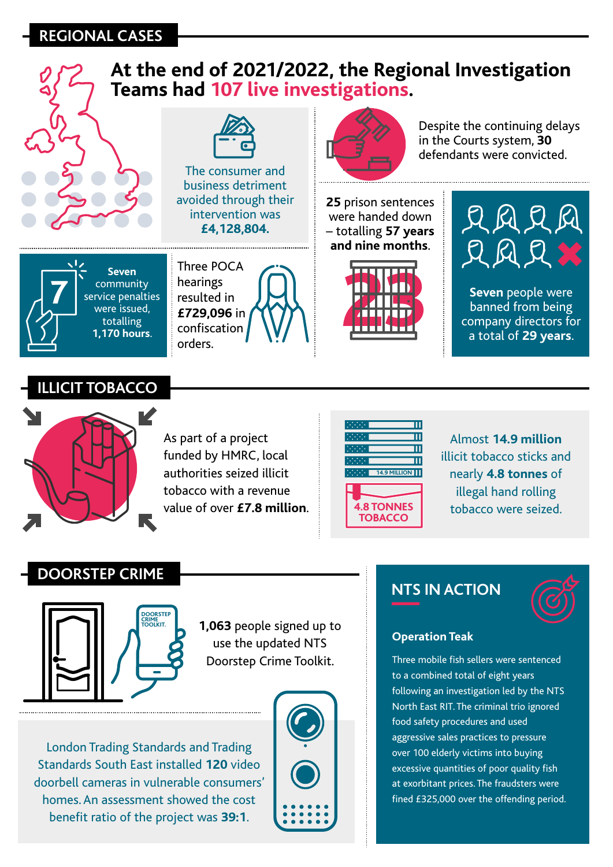## **REGIONAL CASES**





As part of a project funded by HMRC, local authorities seized illicit tobacco with a revenue value of over **£7.8 million**.



Almost **14.9 million** illicit tobacco sticks and nearly **4.8 tonnes** of illegal hand rolling tobacco were seized.

### **DOORSTEP CRIME**



**1,063** people signed up to use the updated NTS Doorstep Crime Toolkit.

London Trading Standards and Trading Standards South East installed **120** video doorbell cameras in vulnerable consumers' homes. An assessment showed the cost benefit ratio of the project was **39:1**.



## **NTS IN ACTION**



#### **Operation Teak**

Three mobile fish sellers were sentenced to a combined total of eight years following an investigation led by the NTS North East RIT. The criminal trio ignored food safety procedures and used aggressive sales practices to pressure over 100 elderly victims into buying excessive quantities of poor quality fish at exorbitant prices. The fraudsters were fined £325,000 over the offending period.